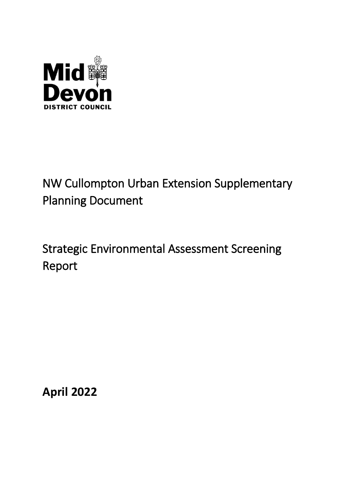

# NW Cullompton Urban Extension Supplementary Planning Document

# Strategic Environmental Assessment Screening Report

**April 2022**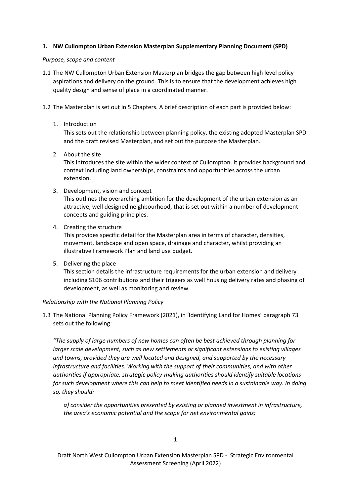## **1. NW Cullompton Urban Extension Masterplan Supplementary Planning Document (SPD)**

## *Purpose, scope and content*

- 1.1 The NW Cullompton Urban Extension Masterplan bridges the gap between high level policy aspirations and delivery on the ground. This is to ensure that the development achieves high quality design and sense of place in a coordinated manner.
- 1.2 The Masterplan is set out in 5 Chapters. A brief description of each part is provided below:
	- 1. Introduction

This sets out the relationship between planning policy, the existing adopted Masterplan SPD and the draft revised Masterplan, and set out the purpose the Masterplan.

2. About the site

This introduces the site within the wider context of Cullompton. It provides background and context including land ownerships, constraints and opportunities across the urban extension.

- 3. Development, vision and concept This outlines the overarching ambition for the development of the urban extension as an attractive, well designed neighbourhood, that is set out within a number of development concepts and guiding principles.
- 4. Creating the structure

This provides specific detail for the Masterplan area in terms of character, densities, movement, landscape and open space, drainage and character, whilst providing an illustrative Framework Plan and land use budget.

5. Delivering the place

This section details the infrastructure requirements for the urban extension and delivery including S106 contributions and their triggers as well housing delivery rates and phasing of development, as well as monitoring and review.

## *Relationship with the National Planning Policy*

1.3 The National Planning Policy Framework (2021), in 'Identifying Land for Homes' paragraph 73 sets out the following:

*"The supply of large numbers of new homes can often be best achieved through planning for larger scale development, such as new settlements or significant extensions to existing villages and towns, provided they are well located and designed, and supported by the necessary infrastructure and facilities. Working with the support of their communities, and with other authorities if appropriate, strategic policy-making authorities should identify suitable locations*  for such development where this can help to meet identified needs in a sustainable way. In doing *so, they should:* 

*a) consider the opportunities presented by existing or planned investment in infrastructure, the area's economic potential and the scope for net environmental gains;*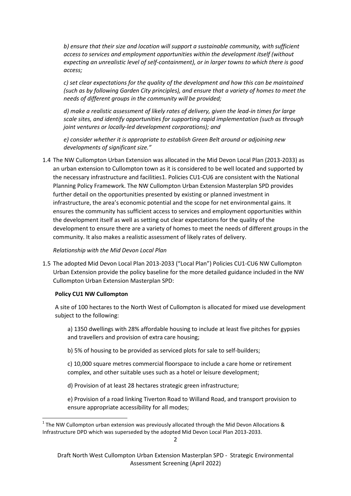*b) ensure that their size and location will support a sustainable community, with sufficient access to services and employment opportunities within the development itself (without expecting an unrealistic level of self-containment), or in larger towns to which there is good access;* 

*c) set clear expectations for the quality of the development and how this can be maintained (such as by following Garden City principles), and ensure that a variety of homes to meet the needs of different groups in the community will be provided;* 

*d) make a realistic assessment of likely rates of delivery, given the lead-in times for large scale sites, and identify opportunities for supporting rapid implementation (such as through joint ventures or locally-led development corporations); and* 

*e) consider whether it is appropriate to establish Green Belt around or adjoining new developments of significant size."* 

1.4 The NW Cullompton Urban Extension was allocated in the Mid Devon Local Plan (2013-2033) as an urban extension to Cullompton town as it is considered to be well located and supported by the necessary infrastructure and facilities1. Policies CU1-CU6 are consistent with the National Planning Policy Framework. The NW Cullompton Urban Extension Masterplan SPD provides further detail on the opportunities presented by existing or planned investment in infrastructure, the area's economic potential and the scope for net environmental gains. It ensures the community has sufficient access to services and employment opportunities within the development itself as well as setting out clear expectations for the quality of the development to ensure there are a variety of homes to meet the needs of different groups in the community. It also makes a realistic assessment of likely rates of delivery.

## *Relationship with the Mid Devon Local Plan*

1.5 The adopted Mid Devon Local Plan 2013-2033 ("Local Plan") Policies CU1-CU6 NW Cullompton Urban Extension provide the policy baseline for the more detailed guidance included in the NW Cullompton Urban Extension Masterplan SPD:

## **Policy CU1 NW Cullompton**

**.** 

A site of 100 hectares to the North West of Cullompton is allocated for mixed use development subject to the following:

a) 1350 dwellings with 28% affordable housing to include at least five pitches for gypsies and travellers and provision of extra care housing;

b) 5% of housing to be provided as serviced plots for sale to self-builders;

c) 10,000 square metres commercial floorspace to include a care home or retirement complex, and other suitable uses such as a hotel or leisure development;

d) Provision of at least 28 hectares strategic green infrastructure;

e) Provision of a road linking Tiverton Road to Willand Road, and transport provision to ensure appropriate accessibility for all modes;

 $1$  The NW Cullompton urban extension was previously allocated through the Mid Devon Allocations & Infrastructure DPD which was superseded by the adopted Mid Devon Local Plan 2013-2033.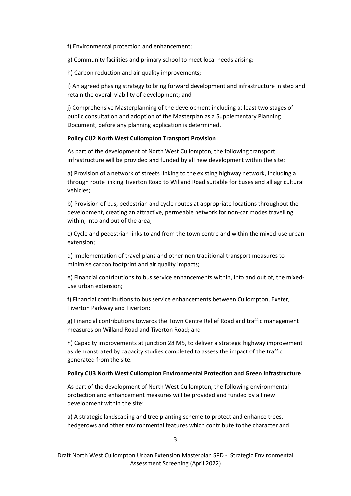f) Environmental protection and enhancement;

g) Community facilities and primary school to meet local needs arising;

h) Carbon reduction and air quality improvements;

i) An agreed phasing strategy to bring forward development and infrastructure in step and retain the overall viability of development; and

j) Comprehensive Masterplanning of the development including at least two stages of public consultation and adoption of the Masterplan as a Supplementary Planning Document, before any planning application is determined.

## **Policy CU2 North West Cullompton Transport Provision**

As part of the development of North West Cullompton, the following transport infrastructure will be provided and funded by all new development within the site:

a) Provision of a network of streets linking to the existing highway network, including a through route linking Tiverton Road to Willand Road suitable for buses and all agricultural vehicles;

b) Provision of bus, pedestrian and cycle routes at appropriate locations throughout the development, creating an attractive, permeable network for non-car modes travelling within, into and out of the area;

c) Cycle and pedestrian links to and from the town centre and within the mixed-use urban extension;

d) Implementation of travel plans and other non-traditional transport measures to minimise carbon footprint and air quality impacts;

e) Financial contributions to bus service enhancements within, into and out of, the mixeduse urban extension;

f) Financial contributions to bus service enhancements between Cullompton, Exeter, Tiverton Parkway and Tiverton;

g) Financial contributions towards the Town Centre Relief Road and traffic management measures on Willand Road and Tiverton Road; and

h) Capacity improvements at junction 28 M5, to deliver a strategic highway improvement as demonstrated by capacity studies completed to assess the impact of the traffic generated from the site.

## **Policy CU3 North West Cullompton Environmental Protection and Green Infrastructure**

As part of the development of North West Cullompton, the following environmental protection and enhancement measures will be provided and funded by all new development within the site:

a) A strategic landscaping and tree planting scheme to protect and enhance trees, hedgerows and other environmental features which contribute to the character and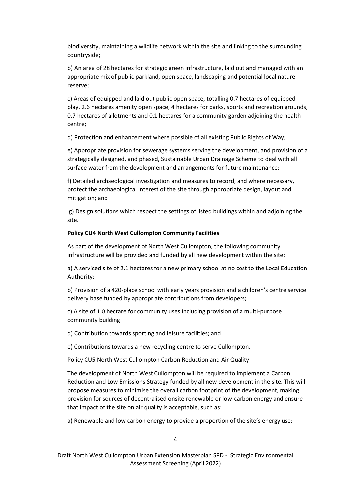biodiversity, maintaining a wildlife network within the site and linking to the surrounding countryside;

b) An area of 28 hectares for strategic green infrastructure, laid out and managed with an appropriate mix of public parkland, open space, landscaping and potential local nature reserve;

c) Areas of equipped and laid out public open space, totalling 0.7 hectares of equipped play, 2.6 hectares amenity open space, 4 hectares for parks, sports and recreation grounds, 0.7 hectares of allotments and 0.1 hectares for a community garden adjoining the health centre;

d) Protection and enhancement where possible of all existing Public Rights of Way;

e) Appropriate provision for sewerage systems serving the development, and provision of a strategically designed, and phased, Sustainable Urban Drainage Scheme to deal with all surface water from the development and arrangements for future maintenance;

f) Detailed archaeological investigation and measures to record, and where necessary, protect the archaeological interest of the site through appropriate design, layout and mitigation; and

g) Design solutions which respect the settings of listed buildings within and adjoining the site.

#### **Policy CU4 North West Cullompton Community Facilities**

As part of the development of North West Cullompton, the following community infrastructure will be provided and funded by all new development within the site:

a) A serviced site of 2.1 hectares for a new primary school at no cost to the Local Education Authority;

b) Provision of a 420-place school with early years provision and a children's centre service delivery base funded by appropriate contributions from developers;

c) A site of 1.0 hectare for community uses including provision of a multi-purpose community building

d) Contribution towards sporting and leisure facilities; and

e) Contributions towards a new recycling centre to serve Cullompton.

Policy CU5 North West Cullompton Carbon Reduction and Air Quality

The development of North West Cullompton will be required to implement a Carbon Reduction and Low Emissions Strategy funded by all new development in the site. This will propose measures to minimise the overall carbon footprint of the development, making provision for sources of decentralised onsite renewable or low-carbon energy and ensure that impact of the site on air quality is acceptable, such as:

a) Renewable and low carbon energy to provide a proportion of the site's energy use;

4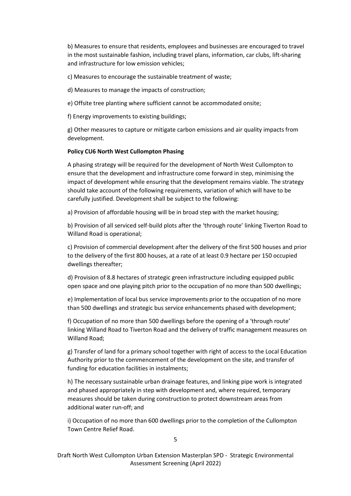b) Measures to ensure that residents, employees and businesses are encouraged to travel in the most sustainable fashion, including travel plans, information, car clubs, lift-sharing and infrastructure for low emission vehicles;

c) Measures to encourage the sustainable treatment of waste;

d) Measures to manage the impacts of construction;

e) Offsite tree planting where sufficient cannot be accommodated onsite;

f) Energy improvements to existing buildings;

g) Other measures to capture or mitigate carbon emissions and air quality impacts from development.

#### **Policy CU6 North West Cullompton Phasing**

A phasing strategy will be required for the development of North West Cullompton to ensure that the development and infrastructure come forward in step, minimising the impact of development while ensuring that the development remains viable. The strategy should take account of the following requirements, variation of which will have to be carefully justified. Development shall be subject to the following:

a) Provision of affordable housing will be in broad step with the market housing;

b) Provision of all serviced self-build plots after the 'through route' linking Tiverton Road to Willand Road is operational;

c) Provision of commercial development after the delivery of the first 500 houses and prior to the delivery of the first 800 houses, at a rate of at least 0.9 hectare per 150 occupied dwellings thereafter;

d) Provision of 8.8 hectares of strategic green infrastructure including equipped public open space and one playing pitch prior to the occupation of no more than 500 dwellings;

e) Implementation of local bus service improvements prior to the occupation of no more than 500 dwellings and strategic bus service enhancements phased with development;

f) Occupation of no more than 500 dwellings before the opening of a 'through route' linking Willand Road to Tiverton Road and the delivery of traffic management measures on Willand Road;

g) Transfer of land for a primary school together with right of access to the Local Education Authority prior to the commencement of the development on the site, and transfer of funding for education facilities in instalments;

h) The necessary sustainable urban drainage features, and linking pipe work is integrated and phased appropriately in step with development and, where required, temporary measures should be taken during construction to protect downstream areas from additional water run-off; and

i) Occupation of no more than 600 dwellings prior to the completion of the Cullompton Town Centre Relief Road.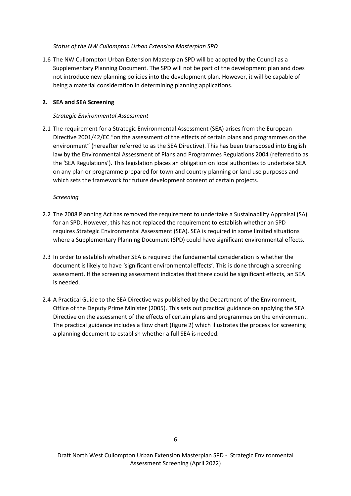## *Status of the NW Cullompton Urban Extension Masterplan SPD*

1.6 The NW Cullompton Urban Extension Masterplan SPD will be adopted by the Council as a Supplementary Planning Document. The SPD will not be part of the development plan and does not introduce new planning policies into the development plan. However, it will be capable of being a material consideration in determining planning applications.

## **2. SEA and SEA Screening**

# *Strategic Environmental Assessment*

2.1 The requirement for a Strategic Environmental Assessment (SEA) arises from the European Directive 2001/42/EC "on the assessment of the effects of certain plans and programmes on the environment" (hereafter referred to as the SEA Directive). This has been transposed into English law by the Environmental Assessment of Plans and Programmes Regulations 2004 (referred to as the 'SEA Regulations'). This legislation places an obligation on local authorities to undertake SEA on any plan or programme prepared for town and country planning or land use purposes and which sets the framework for future development consent of certain projects.

## *Screening*

- 2.2 The 2008 Planning Act has removed the requirement to undertake a Sustainability Appraisal (SA) for an SPD. However, this has not replaced the requirement to establish whether an SPD requires Strategic Environmental Assessment (SEA). SEA is required in some limited situations where a Supplementary Planning Document (SPD) could have significant environmental effects.
- 2.3 In order to establish whether SEA is required the fundamental consideration is whether the document is likely to have 'significant environmental effects'. This is done through a screening assessment. If the screening assessment indicates that there could be significant effects, an SEA is needed.
- 2.4 A Practical Guide to the SEA Directive was published by the Department of the Environment, Office of the Deputy Prime Minister (2005). This sets out practical guidance on applying the SEA Directive on the assessment of the effects of certain plans and programmes on the environment. The practical guidance includes a flow chart (figure 2) which illustrates the process for screening a planning document to establish whether a full SEA is needed.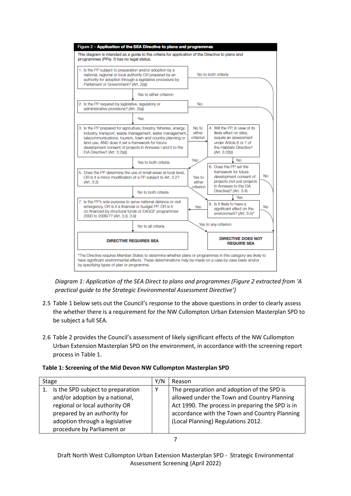

*Diagram 1: Application of the SEA Direct to plans and programmes (Figure 2 extracted from 'A practical guide to the Strategic Environmental Assessment Directive')*

- 2.5 Table 1 below sets out the Council's response to the above questions in order to clearly assess the whether there is a requirement for the NW Cullompton Urban Extension Masterplan SPD to be subject a full SEA.
- 2.6 Table 2 provides the Council's assessment of likely significant effects of the NW Cullompton Urban Extension Masterplan SPD on the environment, in accordance with the screening report process in Table 1.

| Table 1: Screening of the Mid Devon NW Cullompton Masterplan SPD |  |
|------------------------------------------------------------------|--|
|------------------------------------------------------------------|--|

| Stage |                                   | Y/N          | Reason                                           |  |
|-------|-----------------------------------|--------------|--------------------------------------------------|--|
|       | Is the SPD subject to preparation | $\checkmark$ | The preparation and adoption of the SPD is       |  |
|       | and/or adoption by a national,    |              | allowed under the Town and Country Planning      |  |
|       | regional or local authority OR    |              | Act 1990. The process in preparing the SPD is in |  |
|       | prepared by an authority for      |              | accordance with the Town and Country Planning    |  |
|       | adoption through a legislative    |              | (Local Planning) Regulations 2012.               |  |
|       | procedure by Parliament or        |              |                                                  |  |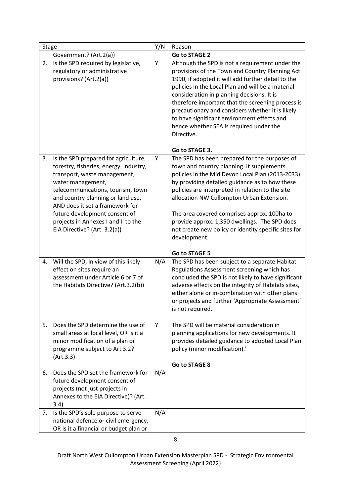| <b>Stage</b> |                                                                                                                                                                                                                                                                                                                                                          | Y/N | Reason                                                                                                                                                                                                                                                                                                                                                                                                                                                                                         |
|--------------|----------------------------------------------------------------------------------------------------------------------------------------------------------------------------------------------------------------------------------------------------------------------------------------------------------------------------------------------------------|-----|------------------------------------------------------------------------------------------------------------------------------------------------------------------------------------------------------------------------------------------------------------------------------------------------------------------------------------------------------------------------------------------------------------------------------------------------------------------------------------------------|
|              | Government? (Art.2(a))                                                                                                                                                                                                                                                                                                                                   |     | <b>Go to STAGE 2</b>                                                                                                                                                                                                                                                                                                                                                                                                                                                                           |
| 2.           | Is the SPD required by legislative,<br>regulatory or administrative<br>provisions? (Art.2(a))                                                                                                                                                                                                                                                            | Υ   | Although the SPD is not a requirement under the<br>provisions of the Town and Country Planning Act<br>1990, if adopted it will add further detail to the<br>policies in the Local Plan and will be a material<br>consideration in planning decisions. It is<br>therefore important that the screening process is<br>precautionary and considers whether it is likely<br>to have significant environment effects and<br>hence whether SEA is required under the<br>Directive.<br>Go to STAGE 3. |
| 3.           | Is the SPD prepared for agriculture,<br>forestry, fisheries, energy, industry,<br>transport, waste management,<br>water management,<br>telecommunications, tourism, town<br>and country planning or land use,<br>AND does it set a framework for<br>future development consent of<br>projects in Annexes I and II to the<br>EIA Directive? (Art. 3.2(a)) | Υ   | The SPD has been prepared for the purposes of<br>town and country planning. It supplements<br>policies in the Mid Devon Local Plan (2013-2033)<br>by providing detailed guidance as to how these<br>policies are interpreted in relation to the site<br>allocation NW Cullompton Urban Extension.<br>The area covered comprises approx. 100ha to<br>provide approx. 1,350 dwellings. The SPD does<br>not create new policy or identity specific sites for<br>development.                      |
| 4.           | Will the SPD, in view of this likely<br>effect on sites require an<br>assessment under Article 6 or 7 of<br>the Habitats Directive? (Art.3.2(b))                                                                                                                                                                                                         | N/A | <b>Go to STAGE 5</b><br>The SPD has been subject to a separate Habitat<br>Regulations Assessment screening which has<br>concluded the SPD is not likely to have significant<br>adverse effects on the integrity of Habitats sites,<br>either alone or in-combination with other plans<br>or projects and further 'Appropriate Assessment'<br>is not required.                                                                                                                                  |
| 5.           | Does the SPD determine the use of<br>small areas at local level, OR is it a<br>minor modification of a plan or<br>programme subject to Art 3.2?<br>(Art.3.3)                                                                                                                                                                                             | Y   | The SPD will be material consideration in<br>planning applications for new developments. It<br>provides detailed guidance to adopted Local Plan<br>policy (minor modification).'<br><b>Go to STAGE 8</b>                                                                                                                                                                                                                                                                                       |
| 6.           | Does the SPD set the framework for<br>future development consent of<br>projects (not just projects in<br>Annexes to the EIA Directive)? (Art.<br>3.4)                                                                                                                                                                                                    | N/A |                                                                                                                                                                                                                                                                                                                                                                                                                                                                                                |
| 7.           | Is the SPD's sole purpose to serve<br>national defence or civil emergency,<br>OR is it a financial or budget plan or                                                                                                                                                                                                                                     | N/A |                                                                                                                                                                                                                                                                                                                                                                                                                                                                                                |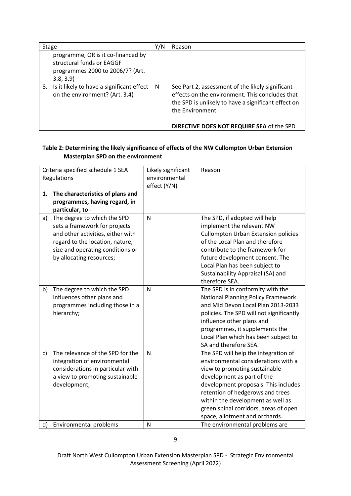| <b>Stage</b> |                                                                                                                 | Y/N | Reason                                                                                                                                                                                                                      |  |
|--------------|-----------------------------------------------------------------------------------------------------------------|-----|-----------------------------------------------------------------------------------------------------------------------------------------------------------------------------------------------------------------------------|--|
|              | programme, OR is it co-financed by<br>structural funds or EAGGF<br>programmes 2000 to 2006/7? (Art.<br>3.8, 3.9 |     |                                                                                                                                                                                                                             |  |
| 8.           | Is it likely to have a significant effect<br>on the environment? (Art. 3.4)                                     | N   | See Part 2, assessment of the likely significant<br>effects on the environment. This concludes that<br>the SPD is unlikely to have a significant effect on<br>the Environment.<br>DIRECTIVE DOES NOT REQUIRE SEA of the SPD |  |

# **Table 2: Determining the likely significance of effects of the NW Cullompton Urban Extension Masterplan SPD on the environment**

| Criteria specified schedule 1 SEA<br>Regulations                                                                                                                                                           | Likely significant<br>environmental<br>effect (Y/N) | Reason                                                                                                                                                                                                                                                                                                                                                                   |
|------------------------------------------------------------------------------------------------------------------------------------------------------------------------------------------------------------|-----------------------------------------------------|--------------------------------------------------------------------------------------------------------------------------------------------------------------------------------------------------------------------------------------------------------------------------------------------------------------------------------------------------------------------------|
| The characteristics of plans and<br>1.<br>programmes, having regard, in<br>particular, to -                                                                                                                |                                                     |                                                                                                                                                                                                                                                                                                                                                                          |
| The degree to which the SPD<br>a)<br>sets a framework for projects<br>and other activities, either with<br>regard to the location, nature,<br>size and operating conditions or<br>by allocating resources; | $\mathsf{N}$                                        | The SPD, if adopted will help<br>implement the relevant NW<br><b>Cullompton Urban Extension policies</b><br>of the Local Plan and therefore<br>contribute to the framework for<br>future development consent. The<br>Local Plan has been subject to<br>Sustainability Appraisal (SA) and<br>therefore SEA.                                                               |
| b)<br>The degree to which the SPD<br>influences other plans and<br>programmes including those in a<br>hierarchy;                                                                                           | $\mathsf{N}$                                        | The SPD is in conformity with the<br><b>National Planning Policy Framework</b><br>and Mid Devon Local Plan 2013-2033<br>policies. The SPD will not significantly<br>influence other plans and<br>programmes, it supplements the<br>Local Plan which has been subject to<br>SA and therefore SEA.                                                                         |
| The relevance of the SPD for the<br>c)<br>integration of environmental<br>considerations in particular with<br>a view to promoting sustainable<br>development;<br>Environmental problems<br>d)             | $\mathsf{N}$<br>$\mathsf{N}$                        | The SPD will help the integration of<br>environmental considerations with a<br>view to promoting sustainable<br>development as part of the<br>development proposals. This includes<br>retention of hedgerows and trees<br>within the development as well as<br>green spinal corridors, areas of open<br>space, allotment and orchards.<br>The environmental problems are |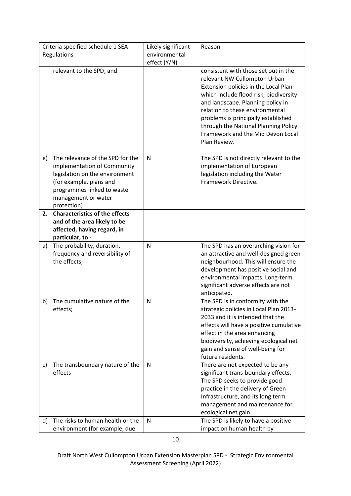| Criteria specified schedule 1 SEA<br>Regulations |                                                                                                                                                                                                  | Likely significant<br>environmental | Reason                                                                                                                                                                                                                                                                                                                                                             |
|--------------------------------------------------|--------------------------------------------------------------------------------------------------------------------------------------------------------------------------------------------------|-------------------------------------|--------------------------------------------------------------------------------------------------------------------------------------------------------------------------------------------------------------------------------------------------------------------------------------------------------------------------------------------------------------------|
|                                                  |                                                                                                                                                                                                  | effect (Y/N)                        |                                                                                                                                                                                                                                                                                                                                                                    |
|                                                  | relevant to the SPD; and                                                                                                                                                                         |                                     | consistent with those set out in the<br>relevant NW Cullompton Urban<br>Extension policies in the Local Plan<br>which include flood risk, biodiversity<br>and landscape. Planning policy in<br>relation to these environmental<br>problems is principally established<br>through the National Planning Policy<br>Framework and the Mid Devon Local<br>Plan Review. |
| e)                                               | The relevance of the SPD for the<br>implementation of Community<br>legislation on the environment<br>(for example, plans and<br>programmes linked to waste<br>management or water<br>protection) | N                                   | The SPD is not directly relevant to the<br>implementation of European<br>legislation including the Water<br>Framework Directive.                                                                                                                                                                                                                                   |
| 2.                                               | <b>Characteristics of the effects</b><br>and of the area likely to be<br>affected, having regard, in<br>particular, to -                                                                         |                                     |                                                                                                                                                                                                                                                                                                                                                                    |
| a)                                               | The probability, duration,<br>frequency and reversibility of<br>the effects;                                                                                                                     | N                                   | The SPD has an overarching vision for<br>an attractive and well-designed green<br>neighbourhood. This will ensure the<br>development has positive social and<br>environmental impacts. Long-term<br>significant adverse effects are not<br>anticipated.                                                                                                            |
| b)                                               | The cumulative nature of the<br>effects;                                                                                                                                                         | N                                   | The SPD is in conformity with the<br>strategic policies in Local Plan 2013-<br>2033 and it is intended that the<br>effects will have a positive cumulative<br>effect in the area enhancing<br>biodiversity, achieving ecological net<br>gain and sense of well-being for<br>future residents.                                                                      |
| C)                                               | The transboundary nature of the<br>effects                                                                                                                                                       | N                                   | There are not expected to be any<br>significant trans-boundary effects.<br>The SPD seeks to provide good<br>practice in the delivery of Green<br>Infrastructure, and its long term<br>management and maintenance for<br>ecological net gain.                                                                                                                       |
| d)                                               | The risks to human health or the<br>environment (for example, due                                                                                                                                | N                                   | The SPD is likely to have a positive<br>impact on human health by                                                                                                                                                                                                                                                                                                  |

Draft North West Cullompton Urban Extension Masterplan SPD - Strategic Environmental Assessment Screening (April 2022)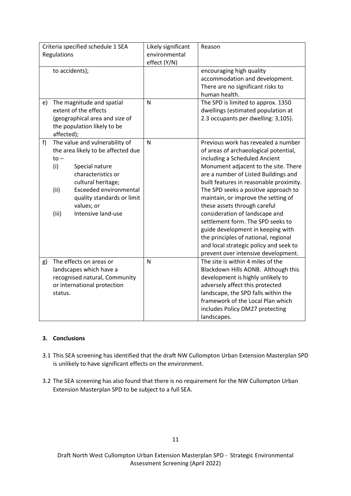| Criteria specified schedule 1 SEA<br>Regulations |                                |                                                                                                                                                                                                                                       | Likely significant<br>environmental<br>effect (Y/N) | Reason                                                                                                                                                                                                                                                                                                                                                                                                                                                                                                                                                                                       |
|--------------------------------------------------|--------------------------------|---------------------------------------------------------------------------------------------------------------------------------------------------------------------------------------------------------------------------------------|-----------------------------------------------------|----------------------------------------------------------------------------------------------------------------------------------------------------------------------------------------------------------------------------------------------------------------------------------------------------------------------------------------------------------------------------------------------------------------------------------------------------------------------------------------------------------------------------------------------------------------------------------------------|
|                                                  |                                | to accidents);                                                                                                                                                                                                                        |                                                     | encouraging high quality<br>accommodation and development.<br>There are no significant risks to<br>human health.                                                                                                                                                                                                                                                                                                                                                                                                                                                                             |
| e)                                               | affected);                     | The magnitude and spatial<br>extent of the effects<br>(geographical area and size of<br>the population likely to be                                                                                                                   | $\mathsf{N}$                                        | The SPD is limited to approx. 1350<br>dwellings (estimated population at<br>2.3 occupants per dwelling: 3,105).                                                                                                                                                                                                                                                                                                                                                                                                                                                                              |
| f)                                               | $to -$<br>(i)<br>(ii)<br>(iii) | The value and vulnerability of<br>the area likely to be affected due<br>Special nature<br>characteristics or<br>cultural heritage;<br><b>Exceeded environmental</b><br>quality standards or limit<br>values; or<br>Intensive land-use | $\mathsf{N}$                                        | Previous work has revealed a number<br>of areas of archaeological potential,<br>including a Scheduled Ancient<br>Monument adjacent to the site. There<br>are a number of Listed Buildings and<br>built features in reasonable proximity.<br>The SPD seeks a positive approach to<br>maintain, or improve the setting of<br>these assets through careful<br>consideration of landscape and<br>settlement form. The SPD seeks to<br>guide development in keeping with<br>the principles of national, regional<br>and local strategic policy and seek to<br>prevent over intensive development. |
| g)                                               | status.                        | The effects on areas or<br>landscapes which have a<br>recognised natural, Community<br>or international protection                                                                                                                    | $\mathsf{N}$                                        | The site is within 4 miles of the<br>Blackdown Hills AONB. Although this<br>development is highly unlikely to<br>adversely affect this protected<br>landscape, the SPD falls within the<br>framework of the Local Plan which<br>includes Policy DM27 protecting<br>landscapes.                                                                                                                                                                                                                                                                                                               |

# **3. Conclusions**

- 3.1 This SEA screening has identified that the draft NW Cullompton Urban Extension Masterplan SPD is unlikely to have significant effects on the environment.
- 3.2 The SEA screening has also found that there is no requirement for the NW Cullompton Urban Extension Masterplan SPD to be subject to a full SEA.